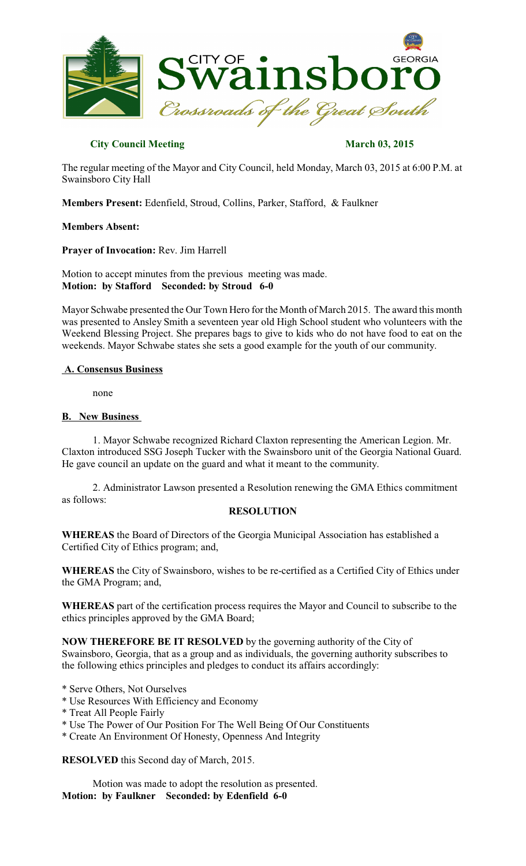

# **City Council Meeting March 03, 2015**

The regular meeting of the Mayor and City Council, held Monday, March 03, 2015 at 6:00 P.M. at Swainsboro City Hall

**Members Present:** Edenfield, Stroud, Collins, Parker, Stafford, & Faulkner

## **Members Absent:**

**Prayer of Invocation:** Rev. Jim Harrell

Motion to accept minutes from the previous meeting was made. **Motion: by Stafford Seconded: by Stroud 6-0**

Mayor Schwabe presented the Our Town Hero for the Month of March 2015. The award this month was presented to Ansley Smith a seventeen year old High School student who volunteers with the Weekend Blessing Project. She prepares bags to give to kids who do not have food to eat on the weekends. Mayor Schwabe states she sets a good example for the youth of our community.

## **A. Consensus Business**

none

## **B. New Business**

1. Mayor Schwabe recognized Richard Claxton representing the American Legion. Mr. Claxton introduced SSG Joseph Tucker with the Swainsboro unit of the Georgia National Guard. He gave council an update on the guard and what it meant to the community.

2. Administrator Lawson presented a Resolution renewing the GMA Ethics commitment as follows:

## **RESOLUTION**

**WHEREAS** the Board of Directors of the Georgia Municipal Association has established a Certified City of Ethics program; and,

**WHEREAS** the City of Swainsboro, wishes to be re-certified as a Certified City of Ethics under the GMA Program; and,

**WHEREAS** part of the certification process requires the Mayor and Council to subscribe to the ethics principles approved by the GMA Board;

**NOW THEREFORE BE IT RESOLVED** by the governing authority of the City of Swainsboro, Georgia, that as a group and as individuals, the governing authority subscribes to the following ethics principles and pledges to conduct its affairs accordingly:

- \* Serve Others, Not Ourselves
- \* Use Resources With Efficiency and Economy
- \* Treat All People Fairly
- \* Use The Power of Our Position For The Well Being Of Our Constituents
- \* Create An Environment Of Honesty, Openness And Integrity

**RESOLVED** this Second day of March, 2015.

Motion was made to adopt the resolution as presented. **Motion: by Faulkner Seconded: by Edenfield 6-0**